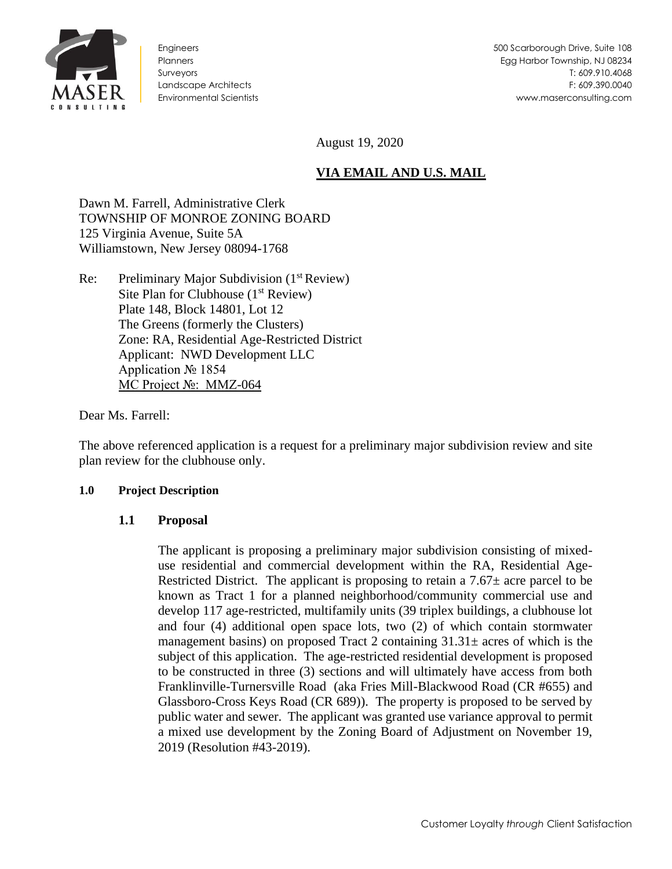

Engineers **Planners** Surveyors Landscape Architects Environmental Scientists

August 19, 2020

# **VIA EMAIL AND U.S. MAIL**

Dawn M. Farrell, Administrative Clerk TOWNSHIP OF MONROE ZONING BOARD 125 Virginia Avenue, Suite 5A Williamstown, New Jersey 08094-1768

Re: Preliminary Major Subdivision (1<sup>st</sup> Review) Site Plan for Clubhouse  $(1<sup>st</sup> Review)$ Plate 148, Block 14801, Lot 12 The Greens (formerly the Clusters) Zone: RA, Residential Age-Restricted District Applicant: NWD Development LLC Application № 1854 MC Project №: MMZ-064

Dear Ms. Farrell:

The above referenced application is a request for a preliminary major subdivision review and site plan review for the clubhouse only.

### **1.0 Project Description**

### **1.1 Proposal**

The applicant is proposing a preliminary major subdivision consisting of mixeduse residential and commercial development within the RA, Residential Age-Restricted District. The applicant is proposing to retain a  $7.67\pm$  acre parcel to be known as Tract 1 for a planned neighborhood/community commercial use and develop 117 age-restricted, multifamily units (39 triplex buildings, a clubhouse lot and four (4) additional open space lots, two (2) of which contain stormwater management basins) on proposed Tract 2 containing  $31.31\pm$  acres of which is the subject of this application. The age-restricted residential development is proposed to be constructed in three (3) sections and will ultimately have access from both Franklinville-Turnersville Road (aka Fries Mill-Blackwood Road (CR #655) and Glassboro-Cross Keys Road (CR 689)). The property is proposed to be served by public water and sewer. The applicant was granted use variance approval to permit a mixed use development by the Zoning Board of Adjustment on November 19, 2019 (Resolution #43-2019).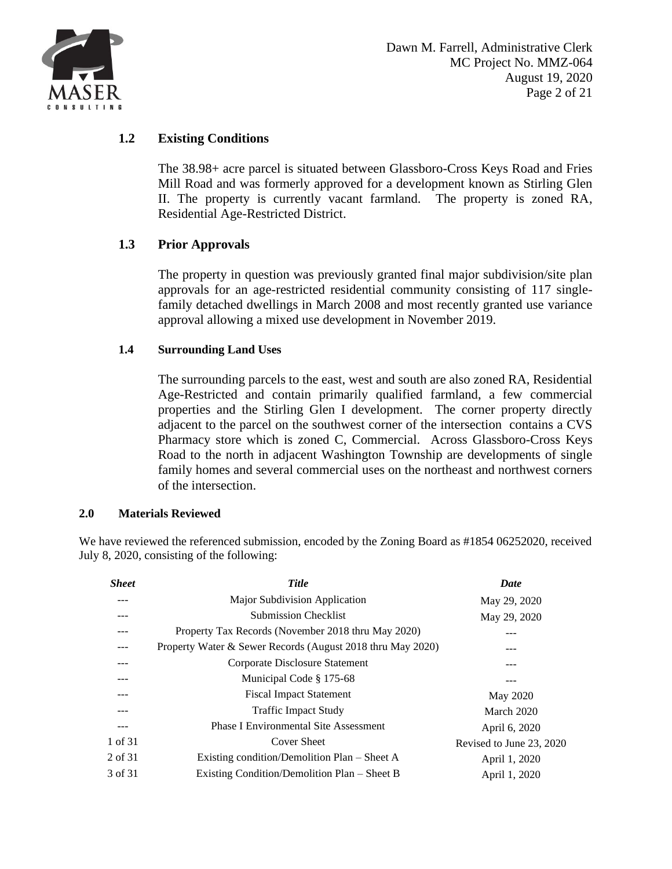

## **1.2 Existing Conditions**

The 38.98+ acre parcel is situated between Glassboro-Cross Keys Road and Fries Mill Road and was formerly approved for a development known as Stirling Glen II. The property is currently vacant farmland. The property is zoned RA, Residential Age-Restricted District.

## **1.3 Prior Approvals**

The property in question was previously granted final major subdivision/site plan approvals for an age-restricted residential community consisting of 117 singlefamily detached dwellings in March 2008 and most recently granted use variance approval allowing a mixed use development in November 2019.

### **1.4 Surrounding Land Uses**

The surrounding parcels to the east, west and south are also zoned RA, Residential Age-Restricted and contain primarily qualified farmland, a few commercial properties and the Stirling Glen I development. The corner property directly adjacent to the parcel on the southwest corner of the intersection contains a CVS Pharmacy store which is zoned C, Commercial. Across Glassboro-Cross Keys Road to the north in adjacent Washington Township are developments of single family homes and several commercial uses on the northeast and northwest corners of the intersection.

#### **2.0 Materials Reviewed**

We have reviewed the referenced submission, encoded by the Zoning Board as #1854 06252020, received July 8, 2020, consisting of the following:

| <b>Sheet</b> | <b>Title</b>                                               | Date                     |
|--------------|------------------------------------------------------------|--------------------------|
|              | Major Subdivision Application                              | May 29, 2020             |
|              | <b>Submission Checklist</b>                                | May 29, 2020             |
|              | Property Tax Records (November 2018 thru May 2020)         |                          |
|              | Property Water & Sewer Records (August 2018 thru May 2020) |                          |
| ---          | Corporate Disclosure Statement                             |                          |
| ---          | Municipal Code § 175-68                                    |                          |
|              | <b>Fiscal Impact Statement</b>                             | May 2020                 |
|              | <b>Traffic Impact Study</b>                                | March 2020               |
|              | <b>Phase I Environmental Site Assessment</b>               | April 6, 2020            |
| 1 of 31      | Cover Sheet                                                | Revised to June 23, 2020 |
| 2 of 31      | Existing condition/Demolition Plan – Sheet A               | April 1, 2020            |
| 3 of 31      | Existing Condition/Demolition Plan – Sheet B               | April 1, 2020            |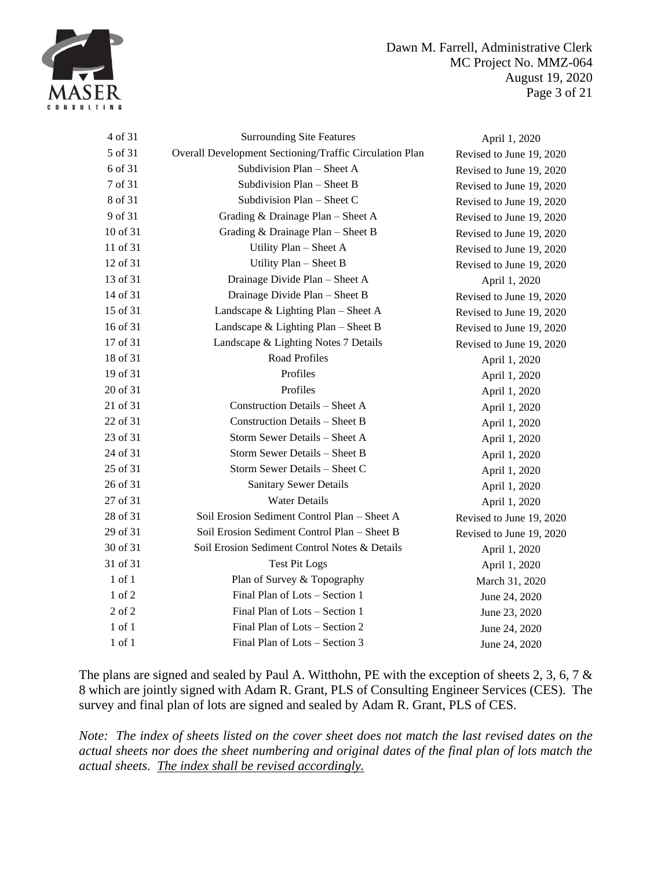

Dawn M. Farrell, Administrative Clerk MC Project No. MMZ-064 August 19, 2020 Page 3 of 21

| 4 of 31    | <b>Surrounding Site Features</b>                        | April 1, 2020            |
|------------|---------------------------------------------------------|--------------------------|
| 5 of 31    | Overall Development Sectioning/Traffic Circulation Plan | Revised to June 19, 2020 |
| 6 of 31    | Subdivision Plan - Sheet A                              | Revised to June 19, 2020 |
| 7 of 31    | Subdivision Plan - Sheet B                              | Revised to June 19, 2020 |
| 8 of 31    | Subdivision Plan - Sheet C                              | Revised to June 19, 2020 |
| 9 of 31    | Grading & Drainage Plan - Sheet A                       | Revised to June 19, 2020 |
| 10 of 31   | Grading & Drainage Plan - Sheet B                       | Revised to June 19, 2020 |
| 11 of 31   | Utility Plan - Sheet A                                  | Revised to June 19, 2020 |
| 12 of 31   | Utility Plan - Sheet B                                  | Revised to June 19, 2020 |
| 13 of 31   | Drainage Divide Plan - Sheet A                          | April 1, 2020            |
| 14 of 31   | Drainage Divide Plan - Sheet B                          | Revised to June 19, 2020 |
| 15 of 31   | Landscape & Lighting Plan - Sheet A                     | Revised to June 19, 2020 |
| 16 of 31   | Landscape & Lighting Plan $-$ Sheet B                   | Revised to June 19, 2020 |
| 17 of 31   | Landscape & Lighting Notes 7 Details                    | Revised to June 19, 2020 |
| 18 of 31   | Road Profiles                                           | April 1, 2020            |
| 19 of 31   | Profiles                                                | April 1, 2020            |
| 20 of 31   | Profiles                                                | April 1, 2020            |
| 21 of 31   | Construction Details - Sheet A                          | April 1, 2020            |
| 22 of 31   | <b>Construction Details - Sheet B</b>                   | April 1, 2020            |
| 23 of 31   | Storm Sewer Details - Sheet A                           | April 1, 2020            |
| 24 of 31   | Storm Sewer Details - Sheet B                           | April 1, 2020            |
| 25 of 31   | Storm Sewer Details - Sheet C                           | April 1, 2020            |
| 26 of 31   | <b>Sanitary Sewer Details</b>                           | April 1, 2020            |
| 27 of 31   | <b>Water Details</b>                                    | April 1, 2020            |
| 28 of 31   | Soil Erosion Sediment Control Plan - Sheet A            | Revised to June 19, 2020 |
| 29 of 31   | Soil Erosion Sediment Control Plan - Sheet B            | Revised to June 19, 2020 |
| 30 of 31   | Soil Erosion Sediment Control Notes & Details           | April 1, 2020            |
| 31 of 31   | <b>Test Pit Logs</b>                                    | April 1, 2020            |
| $1$ of $1$ | Plan of Survey & Topography                             | March 31, 2020           |
| 1 of 2     | Final Plan of Lots - Section 1                          | June 24, 2020            |
| 2 of 2     | Final Plan of Lots - Section 1                          | June 23, 2020            |
| $1$ of $1$ | Final Plan of Lots - Section 2                          | June 24, 2020            |
| 1 of 1     | Final Plan of Lots - Section 3                          | June 24, 2020            |

The plans are signed and sealed by Paul A. Witthohn, PE with the exception of sheets 2, 3, 6, 7 & 8 which are jointly signed with Adam R. Grant, PLS of Consulting Engineer Services (CES). The survey and final plan of lots are signed and sealed by Adam R. Grant, PLS of CES.

*Note: The index of sheets listed on the cover sheet does not match the last revised dates on the actual sheets nor does the sheet numbering and original dates of the final plan of lots match the actual sheets. The index shall be revised accordingly.*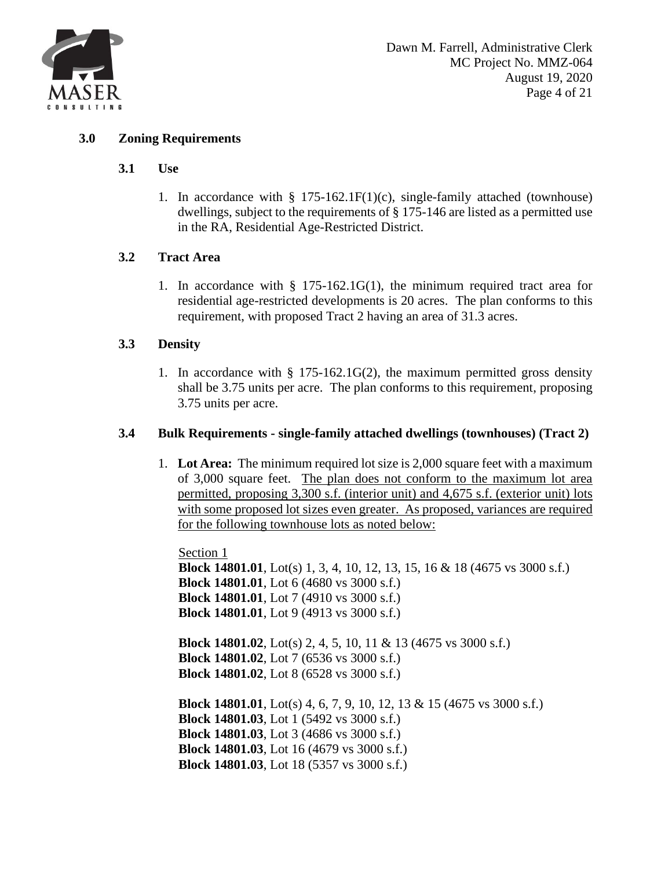

### **3.0 Zoning Requirements**

#### **3.1 Use**

1. In accordance with  $\S$  175-162.1F(1)(c), single-family attached (townhouse) dwellings, subject to the requirements of § 175-146 are listed as a permitted use in the RA, Residential Age-Restricted District.

### **3.2 Tract Area**

1. In accordance with  $\S$  175-162.1G(1), the minimum required tract area for residential age-restricted developments is 20 acres. The plan conforms to this requirement, with proposed Tract 2 having an area of 31.3 acres.

### **3.3 Density**

1. In accordance with § 175-162.1G(2), the maximum permitted gross density shall be 3.75 units per acre. The plan conforms to this requirement, proposing 3.75 units per acre.

### **3.4 Bulk Requirements - single-family attached dwellings (townhouses) (Tract 2)**

1. **Lot Area:** The minimum required lot size is 2,000 square feet with a maximum of 3,000 square feet. The plan does not conform to the maximum lot area permitted, proposing 3,300 s.f. (interior unit) and 4,675 s.f. (exterior unit) lots with some proposed lot sizes even greater. As proposed, variances are required for the following townhouse lots as noted below:

Section 1 **Block 14801.01**, Lot(s) 1, 3, 4, 10, 12, 13, 15, 16 & 18 (4675 vs 3000 s.f.) **Block 14801.01**, Lot 6 (4680 vs 3000 s.f.) **Block 14801.01**, Lot 7 (4910 vs 3000 s.f.) **Block 14801.01**, Lot 9 (4913 vs 3000 s.f.) **Block 14801.02**, Lot(s) 2, 4, 5, 10, 11 & 13 (4675 vs 3000 s.f.) **Block 14801.02**, Lot 7 (6536 vs 3000 s.f.) **Block 14801.02**, Lot 8 (6528 vs 3000 s.f.) **Block 14801.01**, Lot(s) 4, 6, 7, 9, 10, 12, 13 & 15 (4675 vs 3000 s.f.) **Block 14801.03**, Lot 1 (5492 vs 3000 s.f.) **Block 14801.03**, Lot 3 (4686 vs 3000 s.f.) **Block 14801.03**, Lot 16 (4679 vs 3000 s.f.)

**Block 14801.03**, Lot 18 (5357 vs 3000 s.f.)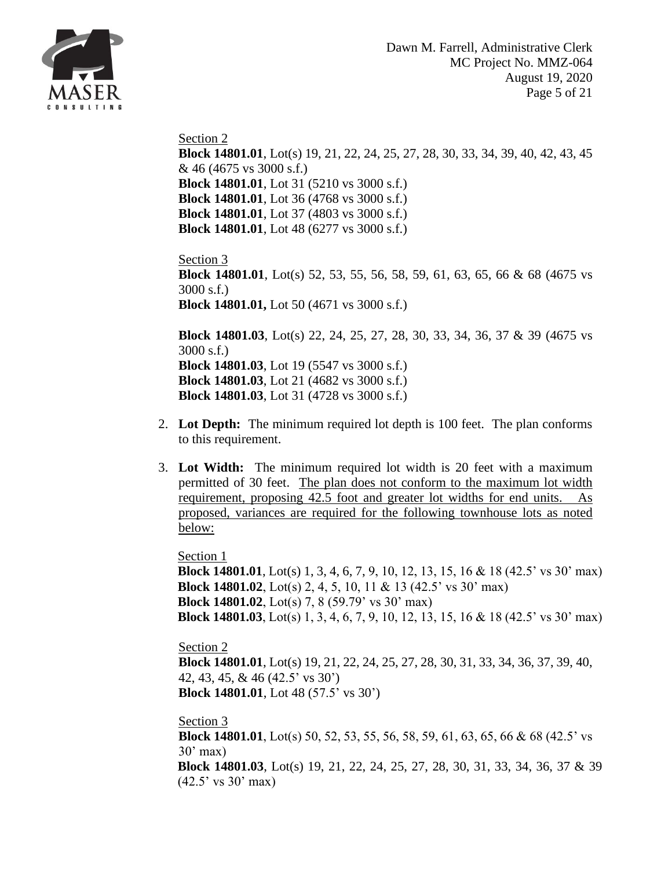

Section 2 **Block 14801.01**, Lot(s) 19, 21, 22, 24, 25, 27, 28, 30, 33, 34, 39, 40, 42, 43, 45 & 46 (4675 vs 3000 s.f.) **Block 14801.01**, Lot 31 (5210 vs 3000 s.f.) **Block 14801.01**, Lot 36 (4768 vs 3000 s.f.) **Block 14801.01**, Lot 37 (4803 vs 3000 s.f.) **Block 14801.01**, Lot 48 (6277 vs 3000 s.f.)

Section 3 **Block 14801.01**, Lot(s) 52, 53, 55, 56, 58, 59, 61, 63, 65, 66 & 68 (4675 vs 3000 s.f.) **Block 14801.01,** Lot 50 (4671 vs 3000 s.f.)

**Block 14801.03**, Lot(s) 22, 24, 25, 27, 28, 30, 33, 34, 36, 37 & 39 (4675 vs 3000 s.f.) **Block 14801.03**, Lot 19 (5547 vs 3000 s.f.) **Block 14801.03**, Lot 21 (4682 vs 3000 s.f.) **Block 14801.03**, Lot 31 (4728 vs 3000 s.f.)

- 2. **Lot Depth:** The minimum required lot depth is 100 feet. The plan conforms to this requirement.
- 3. **Lot Width:** The minimum required lot width is 20 feet with a maximum permitted of 30 feet. The plan does not conform to the maximum lot width requirement, proposing 42.5 foot and greater lot widths for end units. As proposed, variances are required for the following townhouse lots as noted below:

Section 1

**Block 14801.01**, Lot(s) 1, 3, 4, 6, 7, 9, 10, 12, 13, 15, 16 & 18 (42.5' vs 30' max) **Block 14801.02**, Lot(s) 2, 4, 5, 10, 11 & 13 (42.5' vs 30' max) **Block 14801.02**, Lot(s) 7, 8 (59.79' vs 30' max) **Block 14801.03**, Lot(s) 1, 3, 4, 6, 7, 9, 10, 12, 13, 15, 16 & 18 (42.5' vs 30' max)

Section 2

**Block 14801.01**, Lot(s) 19, 21, 22, 24, 25, 27, 28, 30, 31, 33, 34, 36, 37, 39, 40, 42, 43, 45, & 46 (42.5' vs 30') **Block 14801.01**, Lot 48 (57.5' vs 30')

Section 3

**Block 14801.01**, Lot(s) 50, 52, 53, 55, 56, 58, 59, 61, 63, 65, 66 & 68 (42.5' vs  $30'$  max) **Block 14801.03**, Lot(s) 19, 21, 22, 24, 25, 27, 28, 30, 31, 33, 34, 36, 37 & 39 (42.5' vs 30' max)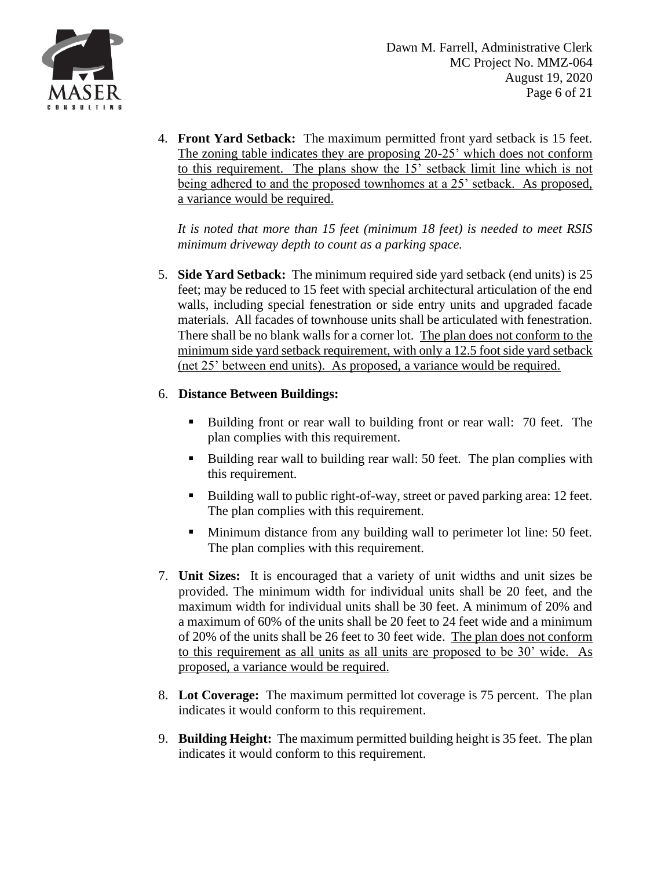

4. **Front Yard Setback:** The maximum permitted front yard setback is 15 feet. The zoning table indicates they are proposing 20-25' which does not conform to this requirement. The plans show the 15' setback limit line which is not being adhered to and the proposed townhomes at a 25' setback. As proposed, a variance would be required.

*It is noted that more than 15 feet (minimum 18 feet) is needed to meet RSIS minimum driveway depth to count as a parking space.*

5. **Side Yard Setback:** The minimum required side yard setback (end units) is 25 feet; may be reduced to 15 feet with special architectural articulation of the end walls, including special fenestration or side entry units and upgraded facade materials. All facades of townhouse units shall be articulated with fenestration. There shall be no blank walls for a corner lot. The plan does not conform to the minimum side yard setback requirement, with only a 12.5 foot side yard setback (net 25' between end units). As proposed, a variance would be required.

## 6. **Distance Between Buildings:**

- Building front or rear wall to building front or rear wall: 70 feet. The plan complies with this requirement.
- Building rear wall to building rear wall: 50 feet. The plan complies with this requirement.
- Building wall to public right-of-way, street or paved parking area: 12 feet. The plan complies with this requirement.
- Minimum distance from any building wall to perimeter lot line: 50 feet. The plan complies with this requirement.
- 7. **Unit Sizes:** It is encouraged that a variety of unit widths and unit sizes be provided. The minimum width for individual units shall be 20 feet, and the maximum width for individual units shall be 30 feet. A minimum of 20% and a maximum of 60% of the units shall be 20 feet to 24 feet wide and a minimum of 20% of the units shall be 26 feet to 30 feet wide. The plan does not conform to this requirement as all units as all units are proposed to be 30' wide. As proposed, a variance would be required.
- 8. **Lot Coverage:** The maximum permitted lot coverage is 75 percent. The plan indicates it would conform to this requirement.
- 9. **Building Height:** The maximum permitted building height is 35 feet. The plan indicates it would conform to this requirement.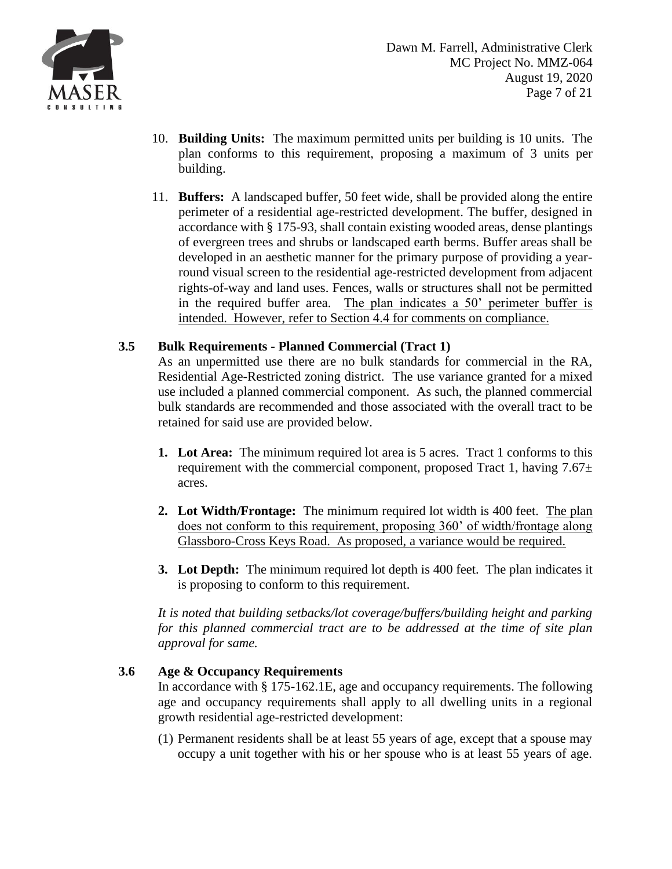

- 10. **Building Units:** The maximum permitted units per building is 10 units. The plan conforms to this requirement, proposing a maximum of 3 units per building.
- 11. **Buffers:** A landscaped buffer, 50 feet wide, shall be provided along the entire perimeter of a residential age-restricted development. The buffer, designed in accordance with § [175-93,](https://ecode360.com/7180030#7180030) shall contain existing wooded areas, dense plantings of evergreen trees and shrubs or landscaped earth berms. Buffer areas shall be developed in an aesthetic manner for the primary purpose of providing a yearround visual screen to the residential age-restricted development from adjacent rights-of-way and land uses. Fences, walls or structures shall not be permitted in the required buffer area. The plan indicates a 50' perimeter buffer is intended. However, refer to Section 4.4 for comments on compliance.

## **3.5 Bulk Requirements - Planned Commercial (Tract 1)**

As an unpermitted use there are no bulk standards for commercial in the RA, Residential Age-Restricted zoning district. The use variance granted for a mixed use included a planned commercial component. As such, the planned commercial bulk standards are recommended and those associated with the overall tract to be retained for said use are provided below.

- **1. Lot Area:** The minimum required lot area is 5 acres. Tract 1 conforms to this requirement with the commercial component, proposed Tract 1, having  $7.67\pm$ acres.
- **2. Lot Width/Frontage:** The minimum required lot width is 400 feet. The plan does not conform to this requirement, proposing 360' of width/frontage along Glassboro-Cross Keys Road. As proposed, a variance would be required.
- **3. Lot Depth:** The minimum required lot depth is 400 feet. The plan indicates it is proposing to conform to this requirement.

*It is noted that building setbacks/lot coverage/buffers/building height and parking for this planned commercial tract are to be addressed at the time of site plan approval for same.*

## **3.6 Age & Occupancy Requirements**

In accordance with § 175-162.1E, age and occupancy requirements. The following age and occupancy requirements shall apply to all dwelling units in a regional growth residential age-restricted development:

[\(1\)](https://ecode360.com/7182235#7182235) Permanent residents shall be at least 55 years of age, except that a spouse may occupy a unit together with his or her spouse who is at least 55 years of age.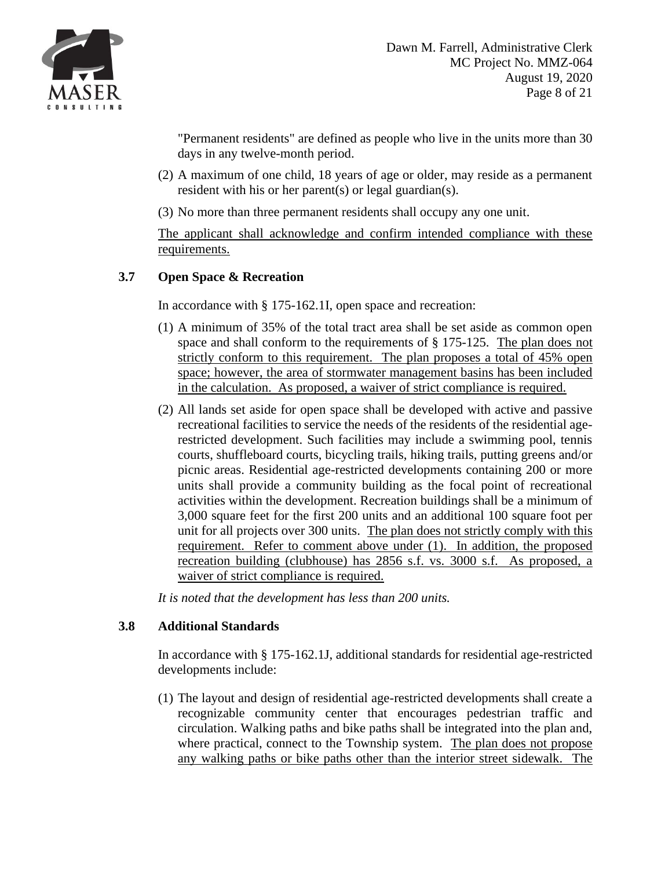

"Permanent residents" are defined as people who live in the units more than 30 days in any twelve-month period.

- [\(2\)](https://ecode360.com/7182236#7182236) A maximum of one child, 18 years of age or older, may reside as a permanent resident with his or her parent(s) or legal guardian(s).
- [\(3\)](https://ecode360.com/7182237#7182237) No more than three permanent residents shall occupy any one unit.

The applicant shall acknowledge and confirm intended compliance with these requirements.

# **3.7 Open Space & Recreation**

In accordance with § 175-162.1I, open space and recreation:

- [\(1\)](https://ecode360.com/7182293#7182293) A minimum of 35% of the total tract area shall be set aside as common open space and shall conform to the requirements of § [175-125.](https://ecode360.com/7180586#7180586) The plan does not strictly conform to this requirement. The plan proposes a total of 45% open space; however, the area of stormwater management basins has been included in the calculation. As proposed, a waiver of strict compliance is required.
- [\(2\)](https://ecode360.com/7182294#7182294) All lands set aside for open space shall be developed with active and passive recreational facilities to service the needs of the residents of the residential agerestricted development. Such facilities may include a swimming pool, tennis courts, shuffleboard courts, bicycling trails, hiking trails, putting greens and/or picnic areas. Residential age-restricted developments containing 200 or more units shall provide a community building as the focal point of recreational activities within the development. Recreation buildings shall be a minimum of 3,000 square feet for the first 200 units and an additional 100 square foot per unit for all projects over 300 units. The plan does not strictly comply with this requirement. Refer to comment above under (1). In addition, the proposed recreation building (clubhouse) has 2856 s.f. vs. 3000 s.f. As proposed, a waiver of strict compliance is required.

*It is noted that the development has less than 200 units.*

# **3.8 Additional Standards**

In accordance with § 175-162.1J, additional standards for residential age-restricted developments include:

[\(1\)](https://ecode360.com/7182296#7182296) The layout and design of residential age-restricted developments shall create a recognizable community center that encourages pedestrian traffic and circulation. Walking paths and bike paths shall be integrated into the plan and, where practical, connect to the Township system. The plan does not propose any walking paths or bike paths other than the interior street sidewalk. The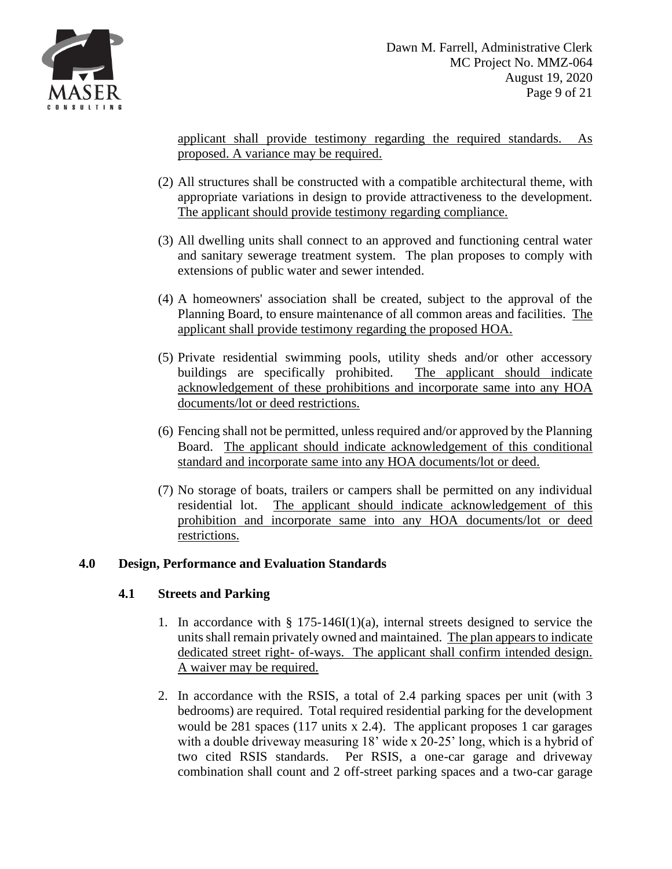

applicant shall provide testimony regarding the required standards. As proposed. A variance may be required.

- [\(2\)](https://ecode360.com/7182297#7182297) All structures shall be constructed with a compatible architectural theme, with appropriate variations in design to provide attractiveness to the development. The applicant should provide testimony regarding compliance.
- [\(3\)](https://ecode360.com/7182298#7182298) All dwelling units shall connect to an approved and functioning central water and sanitary sewerage treatment system. The plan proposes to comply with extensions of public water and sewer intended.
- [\(4\)](https://ecode360.com/7182299#7182299) A homeowners' association shall be created, subject to the approval of the Planning Board, to ensure maintenance of all common areas and facilities. The applicant shall provide testimony regarding the proposed HOA.
- [\(5\)](https://ecode360.com/7182300#7182300) Private residential swimming pools, utility sheds and/or other accessory buildings are specifically prohibited. The applicant should indicate acknowledgement of these prohibitions and incorporate same into any HOA documents/lot or deed restrictions.
- [\(6\)](https://ecode360.com/7182301#7182301) Fencing shall not be permitted, unless required and/or approved by the Planning Board. The applicant should indicate acknowledgement of this conditional standard and incorporate same into any HOA documents/lot or deed.
- [\(7\)](https://ecode360.com/7182302#7182302) No storage of boats, trailers or campers shall be permitted on any individual residential lot. The applicant should indicate acknowledgement of this prohibition and incorporate same into any HOA documents/lot or deed restrictions.

## **4.0 Design, Performance and Evaluation Standards**

# **4.1 Streets and Parking**

- 1. In accordance with § 175-146I(1)(a), internal streets designed to service the units shall remain privately owned and maintained. The plan appears to indicate dedicated street right- of-ways. The applicant shall confirm intended design. A waiver may be required.
- 2. In accordance with the RSIS, a total of 2.4 parking spaces per unit (with 3 bedrooms) are required. Total required residential parking for the development would be 281 spaces (117 units x 2.4). The applicant proposes 1 car garages with a double driveway measuring 18' wide x 20-25' long, which is a hybrid of two cited RSIS standards. Per RSIS, a one-car garage and driveway combination shall count and 2 off-street parking spaces and a two-car garage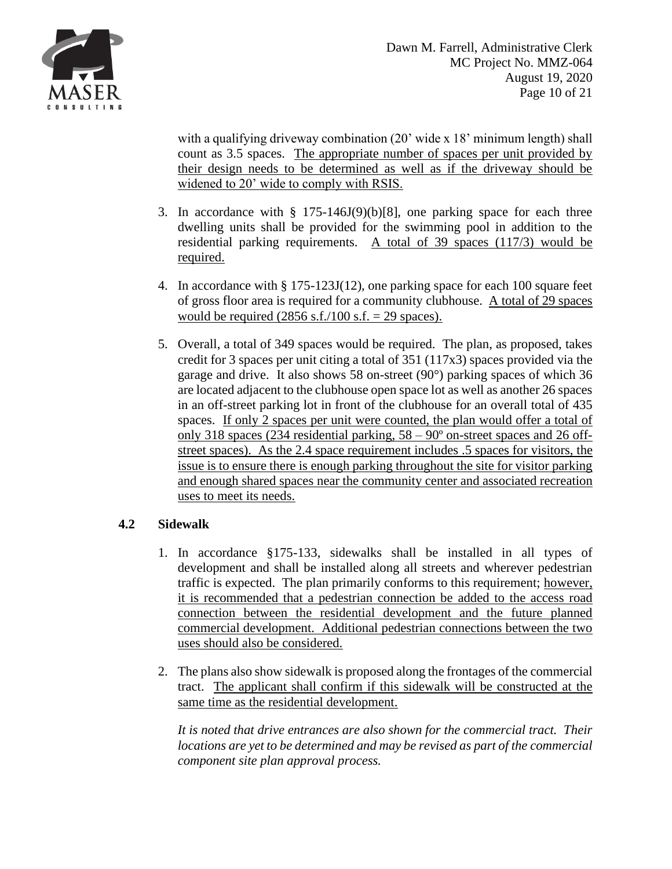

with a qualifying driveway combination (20' wide x 18' minimum length) shall count as 3.5 spaces. The appropriate number of spaces per unit provided by their design needs to be determined as well as if the driveway should be widened to 20' wide to comply with RSIS.

- 3. In accordance with  $\S$  175-146J(9)(b)[8], one parking space for each three dwelling units shall be provided for the swimming pool in addition to the residential parking requirements. A total of 39 spaces (117/3) would be required.
- 4. In accordance with § 175-123J(12), one parking space for each 100 square feet of gross floor area is required for a community clubhouse. A total of 29 spaces would be required  $(2856 \text{ s.f.}/100 \text{ s.f.} = 29 \text{ spaces}).$
- 5. Overall, a total of 349 spaces would be required. The plan, as proposed, takes credit for 3 spaces per unit citing a total of 351 (117x3) spaces provided via the garage and drive. It also shows 58 on-street (90°) parking spaces of which 36 are located adjacent to the clubhouse open space lot as well as another 26 spaces in an off-street parking lot in front of the clubhouse for an overall total of 435 spaces. If only 2 spaces per unit were counted, the plan would offer a total of only 318 spaces (234 residential parking, 58 – 90º on-street spaces and 26 offstreet spaces). As the 2.4 space requirement includes .5 spaces for visitors, the issue is to ensure there is enough parking throughout the site for visitor parking and enough shared spaces near the community center and associated recreation uses to meet its needs.

## **4.2 Sidewalk**

- 1. In accordance §175-133, sidewalks shall be installed in all types of development and shall be installed along all streets and wherever pedestrian traffic is expected. The plan primarily conforms to this requirement; however, it is recommended that a pedestrian connection be added to the access road connection between the residential development and the future planned commercial development. Additional pedestrian connections between the two uses should also be considered.
- 2. The plans also show sidewalk is proposed along the frontages of the commercial tract. The applicant shall confirm if this sidewalk will be constructed at the same time as the residential development.

*It is noted that drive entrances are also shown for the commercial tract. Their locations are yet to be determined and may be revised as part of the commercial component site plan approval process.*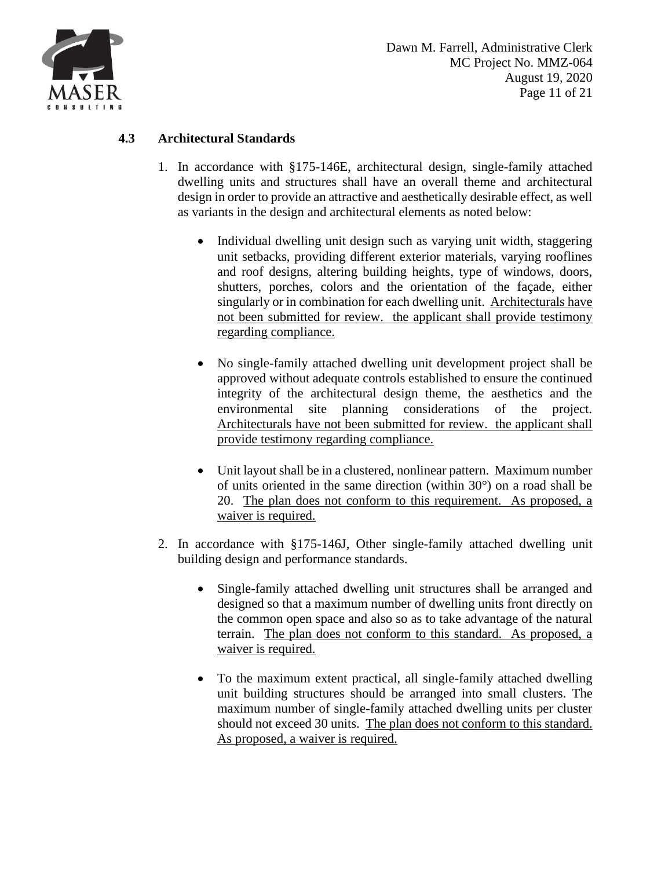

# **4.3 Architectural Standards**

- 1. In accordance with §175-146E, architectural design, single-family attached dwelling units and structures shall have an overall theme and architectural design in order to provide an attractive and aesthetically desirable effect, as well as variants in the design and architectural elements as noted below:
	- Individual dwelling unit design such as varying unit width, staggering unit setbacks, providing different exterior materials, varying rooflines and roof designs, altering building heights, type of windows, doors, shutters, porches, colors and the orientation of the façade, either singularly or in combination for each dwelling unit. Architecturals have not been submitted for review. the applicant shall provide testimony regarding compliance.
	- No single-family attached dwelling unit development project shall be approved without adequate controls established to ensure the continued integrity of the architectural design theme, the aesthetics and the environmental site planning considerations of the project. Architecturals have not been submitted for review. the applicant shall provide testimony regarding compliance.
	- Unit layout shall be in a clustered, nonlinear pattern. Maximum number of units oriented in the same direction (within 30°) on a road shall be 20. The plan does not conform to this requirement. As proposed, a waiver is required.
- 2. In accordance with §175-146J, Other single-family attached dwelling unit building design and performance standards.
	- Single-family attached dwelling unit structures shall be arranged and designed so that a maximum number of dwelling units front directly on the common open space and also so as to take advantage of the natural terrain. The plan does not conform to this standard. As proposed, a waiver is required.
	- To the maximum extent practical, all single-family attached dwelling unit building structures should be arranged into small clusters. The maximum number of single-family attached dwelling units per cluster should not exceed 30 units. The plan does not conform to this standard. As proposed, a waiver is required.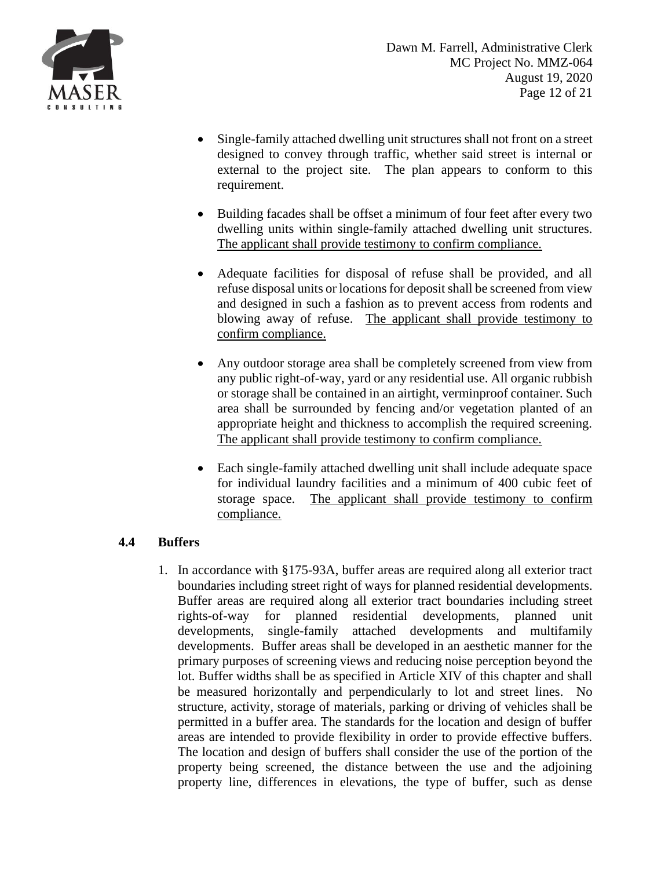

- Single-family attached dwelling unit structures shall not front on a street designed to convey through traffic, whether said street is internal or external to the project site. The plan appears to conform to this requirement.
- Building facades shall be offset a minimum of four feet after every two dwelling units within single-family attached dwelling unit structures. The applicant shall provide testimony to confirm compliance.
- Adequate facilities for disposal of refuse shall be provided, and all refuse disposal units or locations for deposit shall be screened from view and designed in such a fashion as to prevent access from rodents and blowing away of refuse. The applicant shall provide testimony to confirm compliance.
- Any outdoor storage area shall be completely screened from view from any public right-of-way, yard or any residential use. All organic rubbish or storage shall be contained in an airtight, verminproof container. Such area shall be surrounded by fencing and/or vegetation planted of an appropriate height and thickness to accomplish the required screening. The applicant shall provide testimony to confirm compliance.
- Each single-family attached dwelling unit shall include adequate space for individual laundry facilities and a minimum of 400 cubic feet of storage space. The applicant shall provide testimony to confirm compliance.

# **4.4 Buffers**

1. In accordance with §175-93A, buffer areas are required along all exterior tract boundaries including street right of ways for planned residential developments. Buffer areas are required along all exterior tract boundaries including street rights-of-way for planned residential developments, planned unit developments, single-family attached developments and multifamily developments. Buffer areas shall be developed in an aesthetic manner for the primary purposes of screening views and reducing noise perception beyond the lot. Buffer widths shall be as specified in Article XIV of this chapter and shall be measured horizontally and perpendicularly to lot and street lines. No structure, activity, storage of materials, parking or driving of vehicles shall be permitted in a buffer area. The standards for the location and design of buffer areas are intended to provide flexibility in order to provide effective buffers. The location and design of buffers shall consider the use of the portion of the property being screened, the distance between the use and the adjoining property line, differences in elevations, the type of buffer, such as dense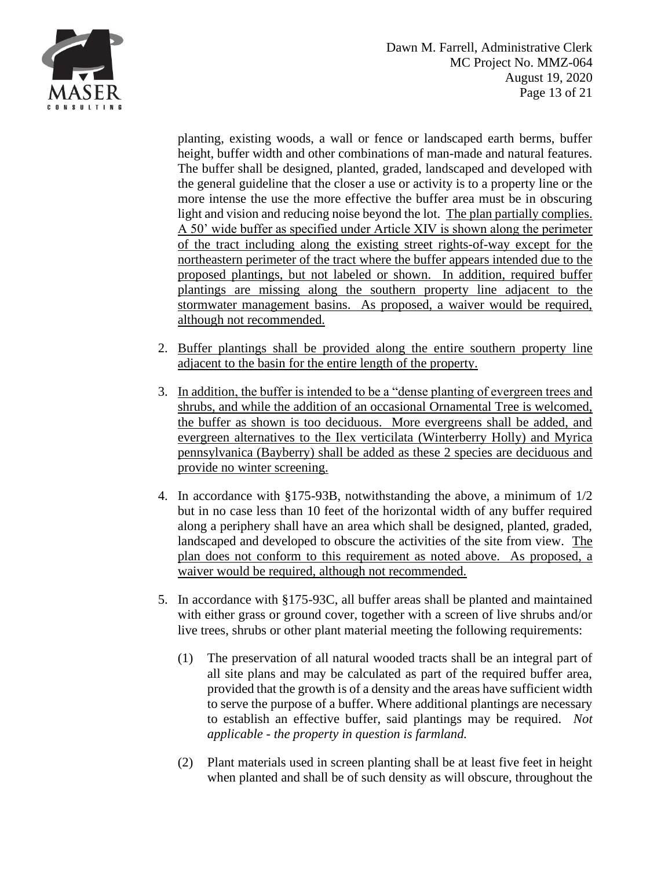



planting, existing woods, a wall or fence or landscaped earth berms, buffer height, buffer width and other combinations of man-made and natural features. The buffer shall be designed, planted, graded, landscaped and developed with the general guideline that the closer a use or activity is to a property line or the more intense the use the more effective the buffer area must be in obscuring light and vision and reducing noise beyond the lot. The plan partially complies. A 50' wide buffer as specified under Article XIV is shown along the perimeter of the tract including along the existing street rights-of-way except for the northeastern perimeter of the tract where the buffer appears intended due to the proposed plantings, but not labeled or shown. In addition, required buffer plantings are missing along the southern property line adjacent to the stormwater management basins. As proposed, a waiver would be required, although not recommended.

- 2. Buffer plantings shall be provided along the entire southern property line adjacent to the basin for the entire length of the property.
- 3. In addition, the buffer is intended to be a "dense planting of evergreen trees and shrubs, and while the addition of an occasional Ornamental Tree is welcomed, the buffer as shown is too deciduous. More evergreens shall be added, and evergreen alternatives to the Ilex verticilata (Winterberry Holly) and Myrica pennsylvanica (Bayberry) shall be added as these 2 species are deciduous and provide no winter screening.
- 4. In accordance with §175-93B, notwithstanding the above, a minimum of 1/2 but in no case less than 10 feet of the horizontal width of any buffer required along a periphery shall have an area which shall be designed, planted, graded, landscaped and developed to obscure the activities of the site from view. The plan does not conform to this requirement as noted above. As proposed, a waiver would be required, although not recommended.
- 5. In accordance with §175-93C, all buffer areas shall be planted and maintained with either grass or ground cover, together with a screen of live shrubs and/or live trees, shrubs or other plant material meeting the following requirements:
	- (1) The preservation of all natural wooded tracts shall be an integral part of all site plans and may be calculated as part of the required buffer area, provided that the growth is of a density and the areas have sufficient width to serve the purpose of a buffer. Where additional plantings are necessary to establish an effective buffer, said plantings may be required. *Not applicable - the property in question is farmland.*
	- (2) Plant materials used in screen planting shall be at least five feet in height when planted and shall be of such density as will obscure, throughout the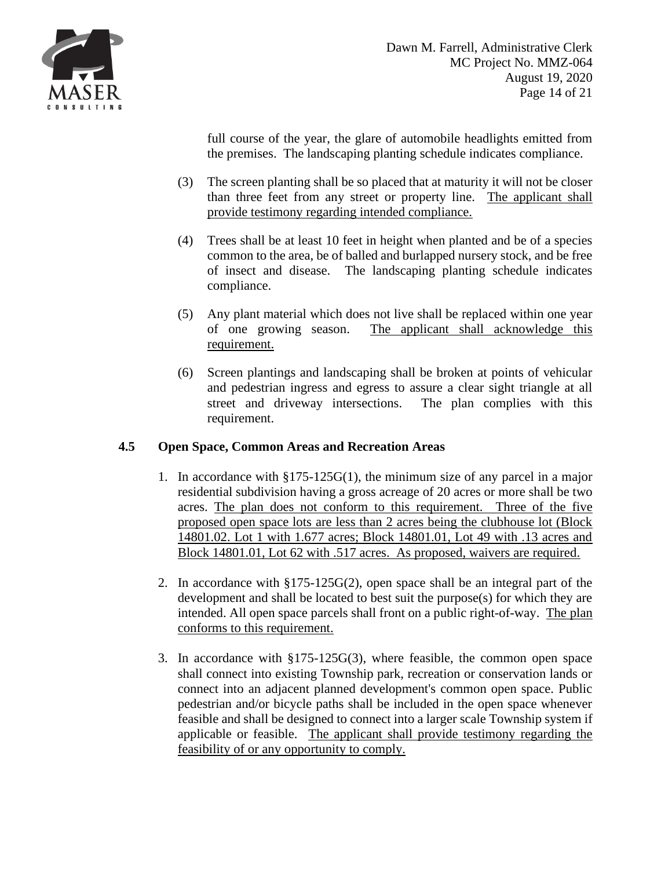

full course of the year, the glare of automobile headlights emitted from the premises. The landscaping planting schedule indicates compliance.

- (3) The screen planting shall be so placed that at maturity it will not be closer than three feet from any street or property line. The applicant shall provide testimony regarding intended compliance.
- (4) Trees shall be at least 10 feet in height when planted and be of a species common to the area, be of balled and burlapped nursery stock, and be free of insect and disease. The landscaping planting schedule indicates compliance.
- (5) Any plant material which does not live shall be replaced within one year of one growing season. The applicant shall acknowledge this requirement.
- (6) Screen plantings and landscaping shall be broken at points of vehicular and pedestrian ingress and egress to assure a clear sight triangle at all street and driveway intersections. The plan complies with this requirement.

# **4.5 Open Space, Common Areas and Recreation Areas**

- 1. In accordance with §175-125G(1), the minimum size of any parcel in a major residential subdivision having a gross acreage of 20 acres or more shall be two acres. The plan does not conform to this requirement. Three of the five proposed open space lots are less than 2 acres being the clubhouse lot (Block 14801.02. Lot 1 with 1.677 acres; Block 14801.01, Lot 49 with .13 acres and Block 14801.01, Lot 62 with .517 acres. As proposed, waivers are required.
- 2. In accordance with §175-125G(2), open space shall be an integral part of the development and shall be located to best suit the purpose(s) for which they are intended. All open space parcels shall front on a public right-of-way. The plan conforms to this requirement.
- 3. In accordance with §175-125G(3), where feasible, the common open space shall connect into existing Township park, recreation or conservation lands or connect into an adjacent planned development's common open space. Public pedestrian and/or bicycle paths shall be included in the open space whenever feasible and shall be designed to connect into a larger scale Township system if applicable or feasible. The applicant shall provide testimony regarding the feasibility of or any opportunity to comply.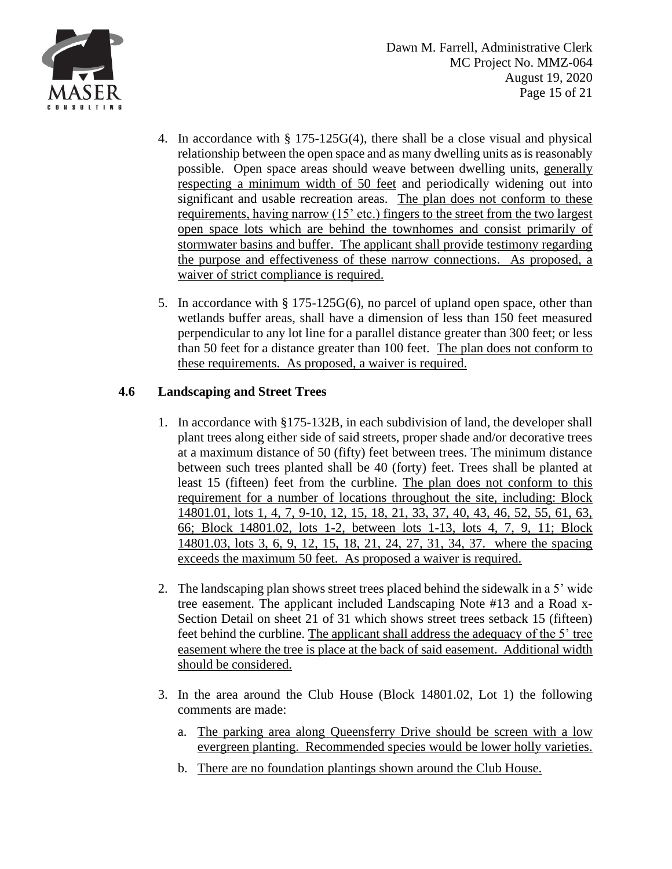

- 4. In accordance with § 175-125G(4), there shall be a close visual and physical relationship between the open space and as many dwelling units as is reasonably possible. Open space areas should weave between dwelling units, generally respecting a minimum width of 50 feet and periodically widening out into significant and usable recreation areas. The plan does not conform to these requirements, having narrow (15' etc.) fingers to the street from the two largest open space lots which are behind the townhomes and consist primarily of stormwater basins and buffer. The applicant shall provide testimony regarding the purpose and effectiveness of these narrow connections. As proposed, a waiver of strict compliance is required.
- 5. In accordance with § 175-125G(6), no parcel of upland open space, other than wetlands buffer areas, shall have a dimension of less than 150 feet measured perpendicular to any lot line for a parallel distance greater than 300 feet; or less than 50 feet for a distance greater than 100 feet. The plan does not conform to these requirements. As proposed, a waiver is required.

# **4.6 Landscaping and Street Trees**

- 1. In accordance with §175-132B, in each subdivision of land, the developer shall plant trees along either side of said streets, proper shade and/or decorative trees at a maximum distance of 50 (fifty) feet between trees. The minimum distance between such trees planted shall be 40 (forty) feet. Trees shall be planted at least 15 (fifteen) feet from the curbline. The plan does not conform to this requirement for a number of locations throughout the site, including: Block 14801.01, lots 1, 4, 7, 9-10, 12, 15, 18, 21, 33, 37, 40, 43, 46, 52, 55, 61, 63, 66; Block 14801.02, lots 1-2, between lots 1-13, lots 4, 7, 9, 11; Block 14801.03, lots 3, 6, 9, 12, 15, 18, 21, 24, 27, 31, 34, 37. where the spacing exceeds the maximum 50 feet. As proposed a waiver is required.
- 2. The landscaping plan shows street trees placed behind the sidewalk in a 5' wide tree easement. The applicant included Landscaping Note #13 and a Road x-Section Detail on sheet 21 of 31 which shows street trees setback 15 (fifteen) feet behind the curbline. The applicant shall address the adequacy of the 5' tree easement where the tree is place at the back of said easement. Additional width should be considered.
- 3. In the area around the Club House (Block 14801.02, Lot 1) the following comments are made:
	- a. The parking area along Queensferry Drive should be screen with a low evergreen planting. Recommended species would be lower holly varieties.
	- b. There are no foundation plantings shown around the Club House.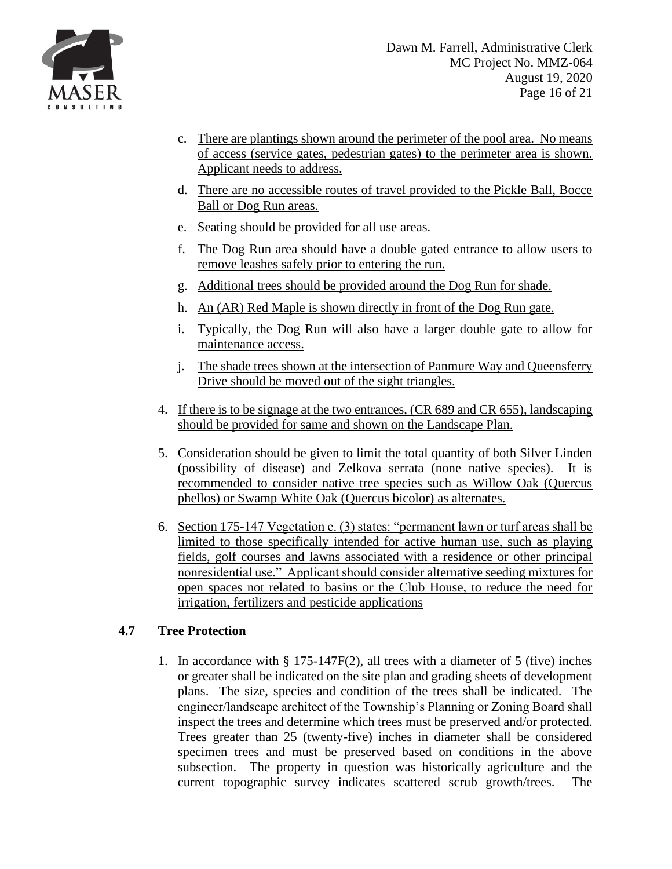

- c. There are plantings shown around the perimeter of the pool area. No means of access (service gates, pedestrian gates) to the perimeter area is shown. Applicant needs to address.
- d. There are no accessible routes of travel provided to the Pickle Ball, Bocce Ball or Dog Run areas.
- e. Seating should be provided for all use areas.
- f. The Dog Run area should have a double gated entrance to allow users to remove leashes safely prior to entering the run.
- g. Additional trees should be provided around the Dog Run for shade.
- h. An (AR) Red Maple is shown directly in front of the Dog Run gate.
- i. Typically, the Dog Run will also have a larger double gate to allow for maintenance access.
- j. The shade trees shown at the intersection of Panmure Way and Queensferry Drive should be moved out of the sight triangles.
- 4. If there is to be signage at the two entrances, (CR 689 and CR 655), landscaping should be provided for same and shown on the Landscape Plan.
- 5. Consideration should be given to limit the total quantity of both Silver Linden (possibility of disease) and Zelkova serrata (none native species). It is recommended to consider native tree species such as Willow Oak (Quercus phellos) or Swamp White Oak (Quercus bicolor) as alternates.
- 6. Section 175-147 Vegetation e. (3) states: "permanent lawn or turf areas shall be limited to those specifically intended for active human use, such as playing fields, golf courses and lawns associated with a residence or other principal nonresidential use." Applicant should consider alternative seeding mixtures for open spaces not related to basins or the Club House, to reduce the need for irrigation, fertilizers and pesticide applications

## **4.7 Tree Protection**

1. In accordance with § 175-147F(2), all trees with a diameter of 5 (five) inches or greater shall be indicated on the site plan and grading sheets of development plans. The size, species and condition of the trees shall be indicated. The engineer/landscape architect of the Township's Planning or Zoning Board shall inspect the trees and determine which trees must be preserved and/or protected. Trees greater than 25 (twenty-five) inches in diameter shall be considered specimen trees and must be preserved based on conditions in the above subsection. The property in question was historically agriculture and the current topographic survey indicates scattered scrub growth/trees. The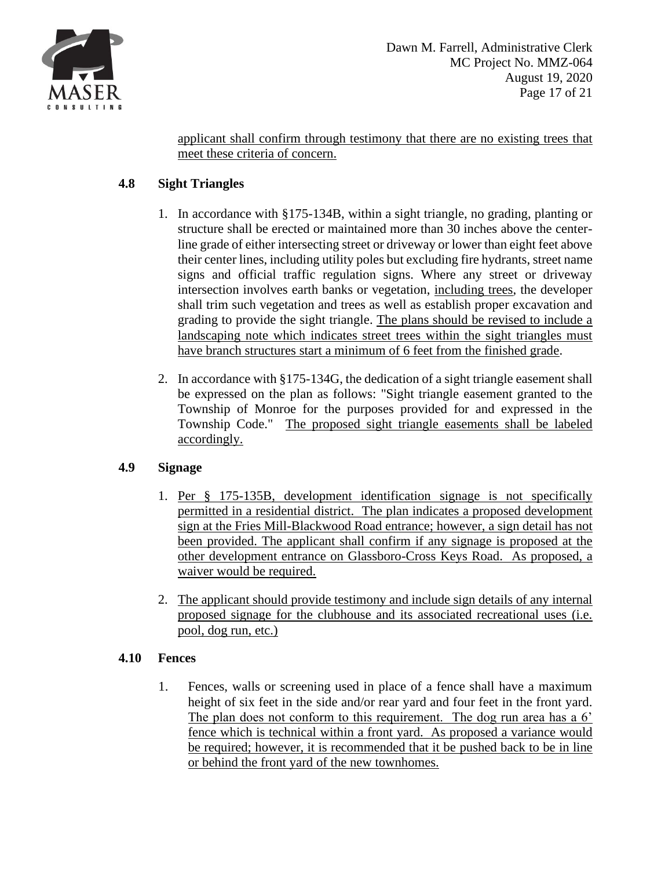

applicant shall confirm through testimony that there are no existing trees that meet these criteria of concern.

# **4.8 Sight Triangles**

- 1. In accordance with §175-134B, within a sight triangle, no grading, planting or structure shall be erected or maintained more than 30 inches above the centerline grade of either intersecting street or driveway or lower than eight feet above their center lines, including utility poles but excluding fire hydrants, street name signs and official traffic regulation signs. Where any street or driveway intersection involves earth banks or vegetation, including trees, the developer shall trim such vegetation and trees as well as establish proper excavation and grading to provide the sight triangle. The plans should be revised to include a landscaping note which indicates street trees within the sight triangles must have branch structures start a minimum of 6 feet from the finished grade.
- 2. In accordance with §175-134G, the dedication of a sight triangle easement shall be expressed on the plan as follows: "Sight triangle easement granted to the Township of Monroe for the purposes provided for and expressed in the Township Code." The proposed sight triangle easements shall be labeled accordingly.

# **4.9 Signage**

- 1. Per § 175-135B, development identification signage is not specifically permitted in a residential district. The plan indicates a proposed development sign at the Fries Mill-Blackwood Road entrance; however, a sign detail has not been provided. The applicant shall confirm if any signage is proposed at the other development entrance on Glassboro-Cross Keys Road. As proposed, a waiver would be required.
- 2. The applicant should provide testimony and include sign details of any internal proposed signage for the clubhouse and its associated recreational uses (i.e. pool, dog run, etc.)

# **4.10 Fences**

1. Fences, walls or screening used in place of a fence shall have a maximum height of six feet in the side and/or rear yard and four feet in the front yard. The plan does not conform to this requirement. The dog run area has a 6' fence which is technical within a front yard. As proposed a variance would be required; however, it is recommended that it be pushed back to be in line or behind the front yard of the new townhomes.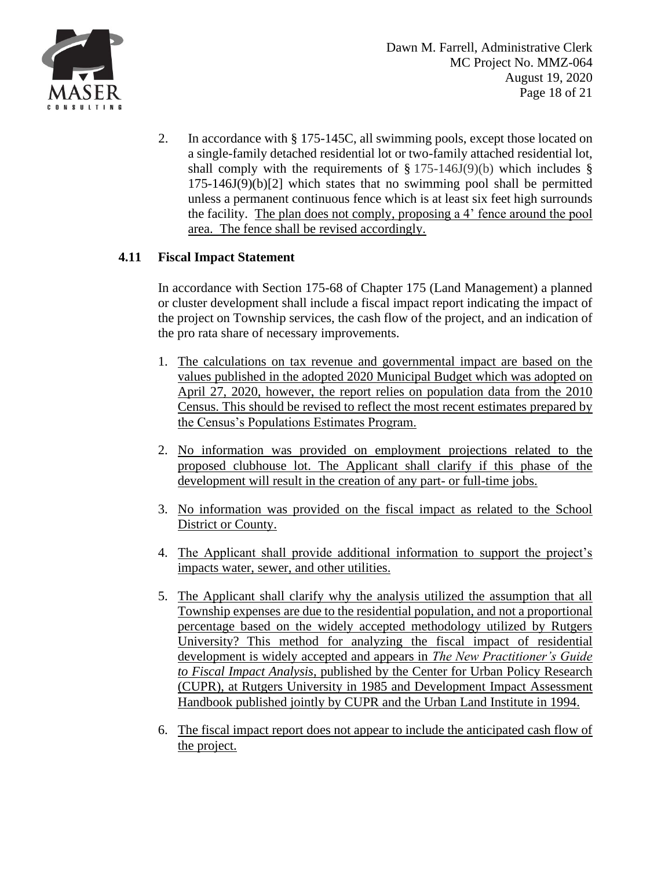

2. In accordance with § 175-145C, all swimming pools, except those located on a single-family detached residential lot or two-family attached residential lot, shall comply with the requirements of  $\S 175-146J(9)(b)$  $\S 175-146J(9)(b)$  which includes  $\S$  $175-146J(9)(b)[2]$  which states that no swimming pool shall be permitted unless a permanent continuous fence which is at least six feet high surrounds the facility. The plan does not comply, proposing a 4' fence around the pool area. The fence shall be revised accordingly.

## **4.11 Fiscal Impact Statement**

In accordance with Section 175-68 of Chapter 175 (Land Management) a planned or cluster development shall include a fiscal impact report indicating the impact of the project on Township services, the cash flow of the project, and an indication of the pro rata share of necessary improvements.

- 1. The calculations on tax revenue and governmental impact are based on the values published in the adopted 2020 Municipal Budget which was adopted on April 27, 2020, however, the report relies on population data from the 2010 Census. This should be revised to reflect the most recent estimates prepared by the Census's Populations Estimates Program.
- 2. No information was provided on employment projections related to the proposed clubhouse lot. The Applicant shall clarify if this phase of the development will result in the creation of any part- or full-time jobs.
- 3. No information was provided on the fiscal impact as related to the School District or County.
- 4. The Applicant shall provide additional information to support the project's impacts water, sewer, and other utilities.
- 5. The Applicant shall clarify why the analysis utilized the assumption that all Township expenses are due to the residential population, and not a proportional percentage based on the widely accepted methodology utilized by Rutgers University? This method for analyzing the fiscal impact of residential development is widely accepted and appears in *The New Practitioner's Guide to Fiscal Impact Analysis*, published by the Center for Urban Policy Research (CUPR), at Rutgers University in 1985 and Development Impact Assessment Handbook published jointly by CUPR and the Urban Land Institute in 1994.
- 6. The fiscal impact report does not appear to include the anticipated cash flow of the project.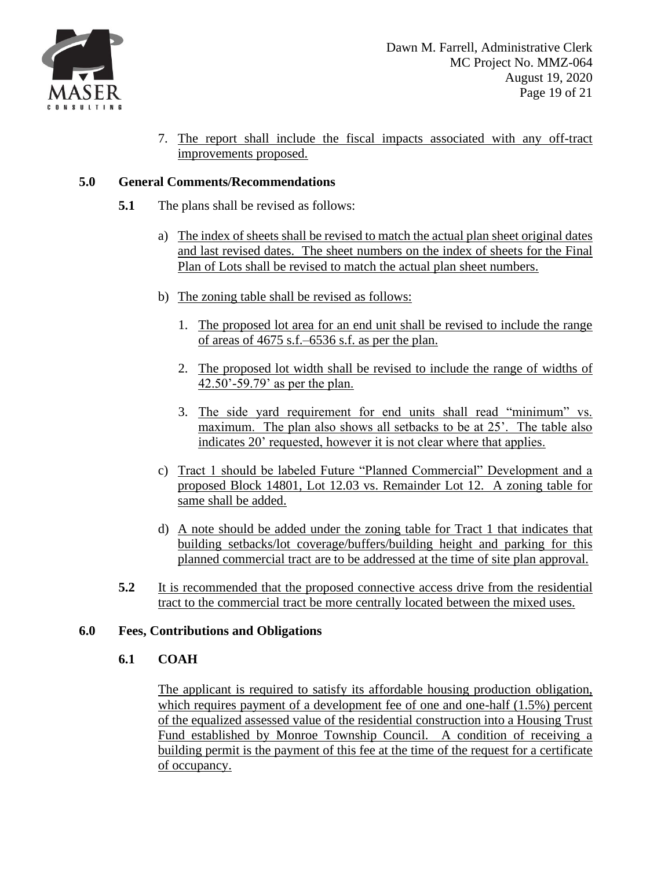

7. The report shall include the fiscal impacts associated with any off-tract improvements proposed.

## **5.0 General Comments/Recommendations**

- **5.1** The plans shall be revised as follows:
	- a) The index of sheets shall be revised to match the actual plan sheet original dates and last revised dates. The sheet numbers on the index of sheets for the Final Plan of Lots shall be revised to match the actual plan sheet numbers.
	- b) The zoning table shall be revised as follows:
		- 1. The proposed lot area for an end unit shall be revised to include the range of areas of 4675 s.f.–6536 s.f. as per the plan.
		- 2. The proposed lot width shall be revised to include the range of widths of 42.50'-59.79' as per the plan.
		- 3. The side yard requirement for end units shall read "minimum" vs. maximum. The plan also shows all setbacks to be at 25'. The table also indicates 20' requested, however it is not clear where that applies.
	- c) Tract 1 should be labeled Future "Planned Commercial" Development and a proposed Block 14801, Lot 12.03 vs. Remainder Lot 12. A zoning table for same shall be added.
	- d) A note should be added under the zoning table for Tract 1 that indicates that building setbacks/lot coverage/buffers/building height and parking for this planned commercial tract are to be addressed at the time of site plan approval.
- **5.2** It is recommended that the proposed connective access drive from the residential tract to the commercial tract be more centrally located between the mixed uses.

## **6.0 Fees, Contributions and Obligations**

## **6.1 COAH**

The applicant is required to satisfy its affordable housing production obligation, which requires payment of a development fee of one and one-half (1.5%) percent of the equalized assessed value of the residential construction into a Housing Trust Fund established by Monroe Township Council. A condition of receiving a building permit is the payment of this fee at the time of the request for a certificate of occupancy.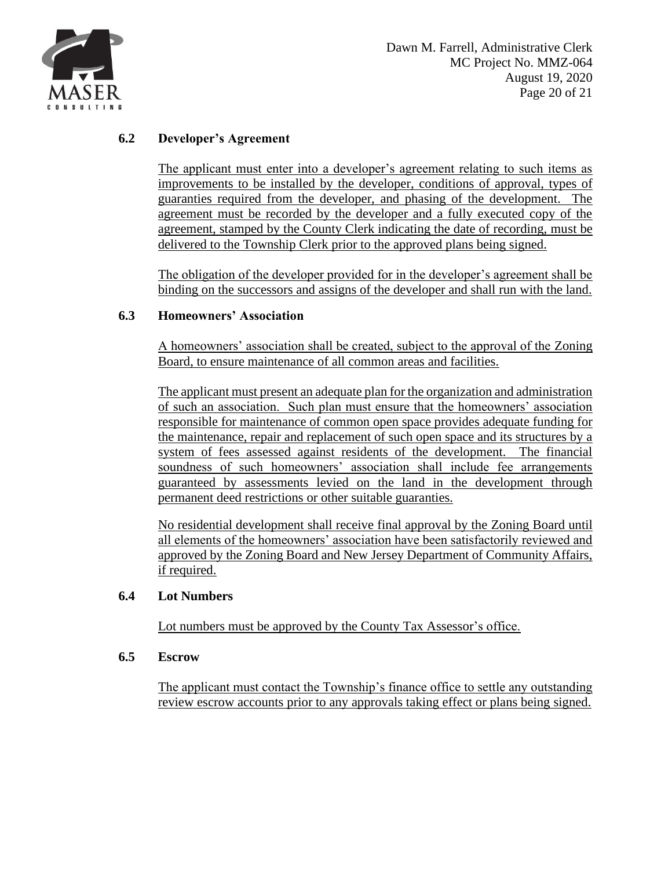

## **6.2 Developer's Agreement**

The applicant must enter into a developer's agreement relating to such items as improvements to be installed by the developer, conditions of approval, types of guaranties required from the developer, and phasing of the development. The agreement must be recorded by the developer and a fully executed copy of the agreement, stamped by the County Clerk indicating the date of recording, must be delivered to the Township Clerk prior to the approved plans being signed.

The obligation of the developer provided for in the developer's agreement shall be binding on the successors and assigns of the developer and shall run with the land.

## **6.3 Homeowners' Association**

A homeowners' association shall be created, subject to the approval of the Zoning Board, to ensure maintenance of all common areas and facilities.

The applicant must present an adequate plan for the organization and administration of such an association. Such plan must ensure that the homeowners' association responsible for maintenance of common open space provides adequate funding for the maintenance, repair and replacement of such open space and its structures by a system of fees assessed against residents of the development. The financial soundness of such homeowners' association shall include fee arrangements guaranteed by assessments levied on the land in the development through permanent deed restrictions or other suitable guaranties.

No residential development shall receive final approval by the Zoning Board until all elements of the homeowners' association have been satisfactorily reviewed and approved by the Zoning Board and New Jersey Department of Community Affairs, if required.

### **6.4 Lot Numbers**

Lot numbers must be approved by the County Tax Assessor's office.

### **6.5 Escrow**

The applicant must contact the Township's finance office to settle any outstanding review escrow accounts prior to any approvals taking effect or plans being signed.